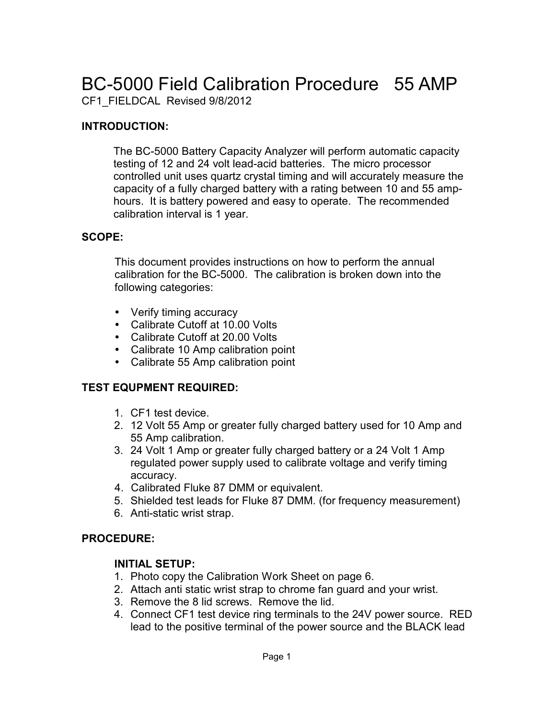# BC-5000 Field Calibration Procedure 55 AMP

CF1\_FIELDCAL Revised 9/8/2012

#### **INTRODUCTION:**

The BC-5000 Battery Capacity Analyzer will perform automatic capacity testing of 12 and 24 volt lead-acid batteries. The micro processor controlled unit uses quartz crystal timing and will accurately measure the capacity of a fully charged battery with a rating between 10 and 55 amphours. It is battery powered and easy to operate. The recommended calibration interval is 1 year.

#### **SCOPE:**

This document provides instructions on how to perform the annual calibration for the BC-5000. The calibration is broken down into the following categories:

- Verify timing accuracy
- Calibrate Cutoff at 10.00 Volts
- Calibrate Cutoff at 20.00 Volts
- Calibrate 10 Amp calibration point
- Calibrate 55 Amp calibration point

#### **TEST EQUPMENT REQUIRED:**

- 1. CF1 test device.
- 2. 12 Volt 55 Amp or greater fully charged battery used for 10 Amp and 55 Amp calibration.
- 3. 24 Volt 1 Amp or greater fully charged battery or a 24 Volt 1 Amp regulated power supply used to calibrate voltage and verify timing accuracy.
- 4. Calibrated Fluke 87 DMM or equivalent.
- 5. Shielded test leads for Fluke 87 DMM. (for frequency measurement)
- 6. Anti-static wrist strap.

#### **PROCEDURE:**

#### **INITIAL SETUP:**

- 1. Photo copy the Calibration Work Sheet on page 6.
- 2. Attach anti static wrist strap to chrome fan guard and your wrist.
- 3. Remove the 8 lid screws. Remove the lid.
- 4. Connect CF1 test device ring terminals to the 24V power source. RED lead to the positive terminal of the power source and the BLACK lead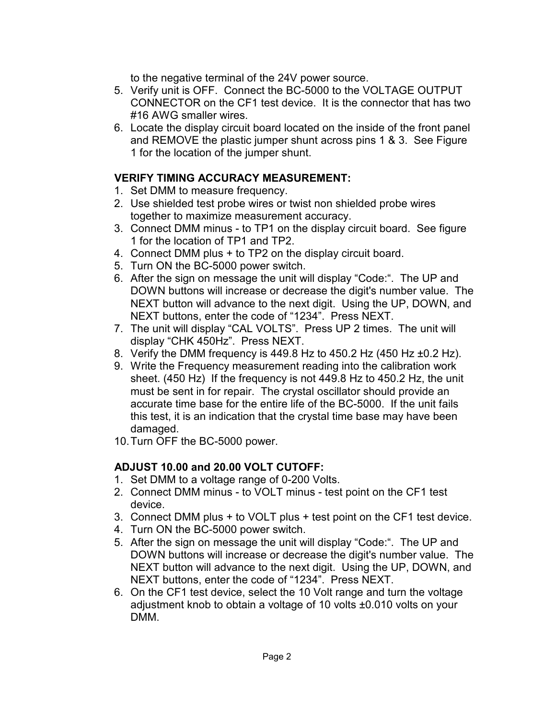to the negative terminal of the 24V power source.

- 5. Verify unit is OFF. Connect the BC-5000 to the VOLTAGE OUTPUT CONNECTOR on the CF1 test device. It is the connector that has two #16 AWG smaller wires.
- 6. Locate the display circuit board located on the inside of the front panel and REMOVE the plastic jumper shunt across pins 1 & 3. See Figure 1 for the location of the jumper shunt.

#### **VERIFY TIMING ACCURACY MEASUREMENT:**

- 1. Set DMM to measure frequency.
- 2. Use shielded test probe wires or twist non shielded probe wires together to maximize measurement accuracy.
- 3. Connect DMM minus to TP1 on the display circuit board. See figure 1 for the location of TP1 and TP2.
- 4. Connect DMM plus + to TP2 on the display circuit board.
- 5. Turn ON the BC-5000 power switch.
- 6. After the sign on message the unit will display "Code:". The UP and DOWN buttons will increase or decrease the digit's number value. The NEXT button will advance to the next digit. Using the UP, DOWN, and NEXT buttons, enter the code of "1234". Press NEXT.
- 7. The unit will display "CAL VOLTS". Press UP 2 times. The unit will display "CHK 450Hz". Press NEXT.
- 8. Verify the DMM frequency is 449.8 Hz to 450.2 Hz  $(450$  Hz  $\pm 0.2$  Hz).
- 9. Write the Frequency measurement reading into the calibration work sheet. (450 Hz) If the frequency is not 449.8 Hz to 450.2 Hz, the unit must be sent in for repair. The crystal oscillator should provide an accurate time base for the entire life of the BC-5000. If the unit fails this test, it is an indication that the crystal time base may have been damaged.
- 10.Turn OFF the BC-5000 power.

#### **ADJUST 10.00 and 20.00 VOLT CUTOFF:**

- 1. Set DMM to a voltage range of 0-200 Volts.
- 2. Connect DMM minus to VOLT minus test point on the CF1 test device.
- 3. Connect DMM plus + to VOLT plus + test point on the CF1 test device.
- 4. Turn ON the BC-5000 power switch.
- 5. After the sign on message the unit will display "Code:". The UP and DOWN buttons will increase or decrease the digit's number value. The NEXT button will advance to the next digit. Using the UP, DOWN, and NEXT buttons, enter the code of "1234". Press NEXT.
- 6. On the CF1 test device, select the 10 Volt range and turn the voltage adjustment knob to obtain a voltage of 10 volts ±0.010 volts on your DMM.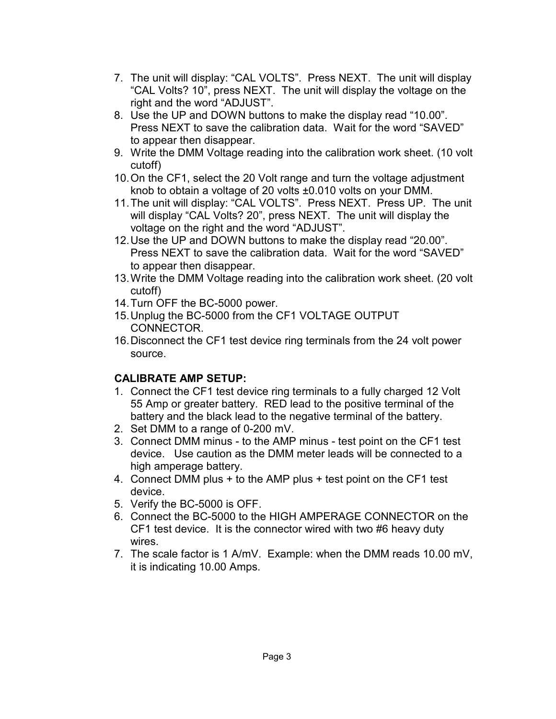- 7. The unit will display: "CAL VOLTS". Press NEXT. The unit will display "CAL Volts? 10", press NEXT. The unit will display the voltage on the right and the word "ADJUST".
- 8. Use the UP and DOWN buttons to make the display read "10.00". Press NEXT to save the calibration data. Wait for the word "SAVED" to appear then disappear.
- 9. Write the DMM Voltage reading into the calibration work sheet. (10 volt cutoff)
- 10.On the CF1, select the 20 Volt range and turn the voltage adjustment knob to obtain a voltage of 20 volts ±0.010 volts on your DMM.
- 11.The unit will display: "CAL VOLTS". Press NEXT. Press UP. The unit will display "CAL Volts? 20", press NEXT. The unit will display the voltage on the right and the word "ADJUST".
- 12.Use the UP and DOWN buttons to make the display read "20.00". Press NEXT to save the calibration data. Wait for the word "SAVED" to appear then disappear.
- 13.Write the DMM Voltage reading into the calibration work sheet. (20 volt cutoff)
- 14.Turn OFF the BC-5000 power.
- 15.Unplug the BC-5000 from the CF1 VOLTAGE OUTPUT CONNECTOR.
- 16.Disconnect the CF1 test device ring terminals from the 24 volt power source.

#### **CALIBRATE AMP SETUP:**

- 1. Connect the CF1 test device ring terminals to a fully charged 12 Volt 55 Amp or greater battery. RED lead to the positive terminal of the battery and the black lead to the negative terminal of the battery.
- 2. Set DMM to a range of 0-200 mV.
- 3. Connect DMM minus to the AMP minus test point on the CF1 test device. Use caution as the DMM meter leads will be connected to a high amperage battery.
- 4. Connect DMM plus + to the AMP plus + test point on the CF1 test device.
- 5. Verify the BC-5000 is OFF.
- 6. Connect the BC-5000 to the HIGH AMPERAGE CONNECTOR on the CF1 test device. It is the connector wired with two #6 heavy duty wires.
- 7. The scale factor is 1 A/mV. Example: when the DMM reads 10.00 mV, it is indicating 10.00 Amps.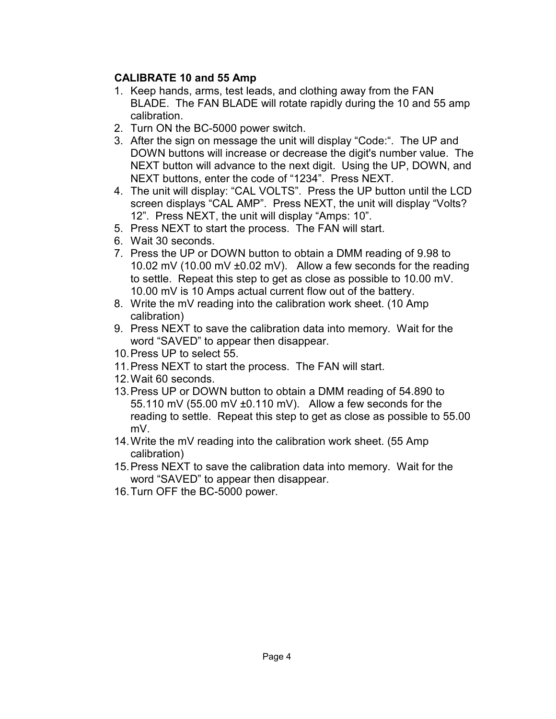#### **CALIBRATE 10 and 55 Amp**

- 1. Keep hands, arms, test leads, and clothing away from the FAN BLADE. The FAN BLADE will rotate rapidly during the 10 and 55 amp calibration.
- 2. Turn ON the BC-5000 power switch.
- 3. After the sign on message the unit will display "Code:". The UP and DOWN buttons will increase or decrease the digit's number value. The NEXT button will advance to the next digit. Using the UP, DOWN, and NEXT buttons, enter the code of "1234". Press NEXT.
- 4. The unit will display: "CAL VOLTS". Press the UP button until the LCD screen displays "CAL AMP". Press NEXT, the unit will display "Volts? 12". Press NEXT, the unit will display "Amps: 10".
- 5. Press NEXT to start the process. The FAN will start.
- 6. Wait 30 seconds.
- 7. Press the UP or DOWN button to obtain a DMM reading of 9.98 to 10.02 mV (10.00 mV ±0.02 mV). Allow a few seconds for the reading to settle. Repeat this step to get as close as possible to 10.00 mV. 10.00 mV is 10 Amps actual current flow out of the battery.
- 8. Write the mV reading into the calibration work sheet. (10 Amp calibration)
- 9. Press NEXT to save the calibration data into memory. Wait for the word "SAVED" to appear then disappear.
- 10.Press UP to select 55.
- 11.Press NEXT to start the process. The FAN will start.
- 12.Wait 60 seconds.
- 13.Press UP or DOWN button to obtain a DMM reading of 54.890 to 55.110 mV (55.00 mV ±0.110 mV). Allow a few seconds for the reading to settle. Repeat this step to get as close as possible to 55.00 mV.
- 14.Write the mV reading into the calibration work sheet. (55 Amp calibration)
- 15.Press NEXT to save the calibration data into memory. Wait for the word "SAVED" to appear then disappear.
- 16.Turn OFF the BC-5000 power.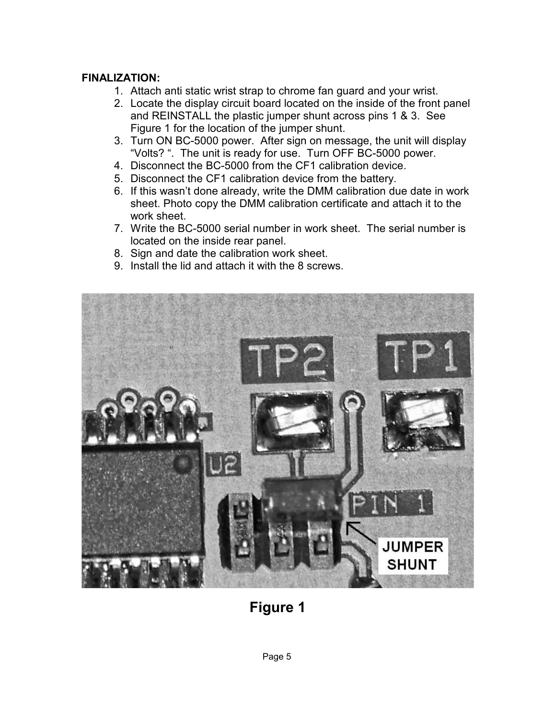#### **FINALIZATION:**

- 1. Attach anti static wrist strap to chrome fan guard and your wrist.
- 2. Locate the display circuit board located on the inside of the front panel and REINSTALL the plastic jumper shunt across pins 1 & 3. See Figure 1 for the location of the jumper shunt.
- 3. Turn ON BC-5000 power. After sign on message, the unit will display "Volts? ". The unit is ready for use. Turn OFF BC-5000 power.
- 4. Disconnect the BC-5000 from the CF1 calibration device.
- 5. Disconnect the CF1 calibration device from the battery.
- 6. If this wasn't done already, write the DMM calibration due date in work sheet. Photo copy the DMM calibration certificate and attach it to the work sheet.
- 7. Write the BC-5000 serial number in work sheet. The serial number is located on the inside rear panel.
- 8. Sign and date the calibration work sheet.
- 9. Install the lid and attach it with the 8 screws.



## **Figure 1**